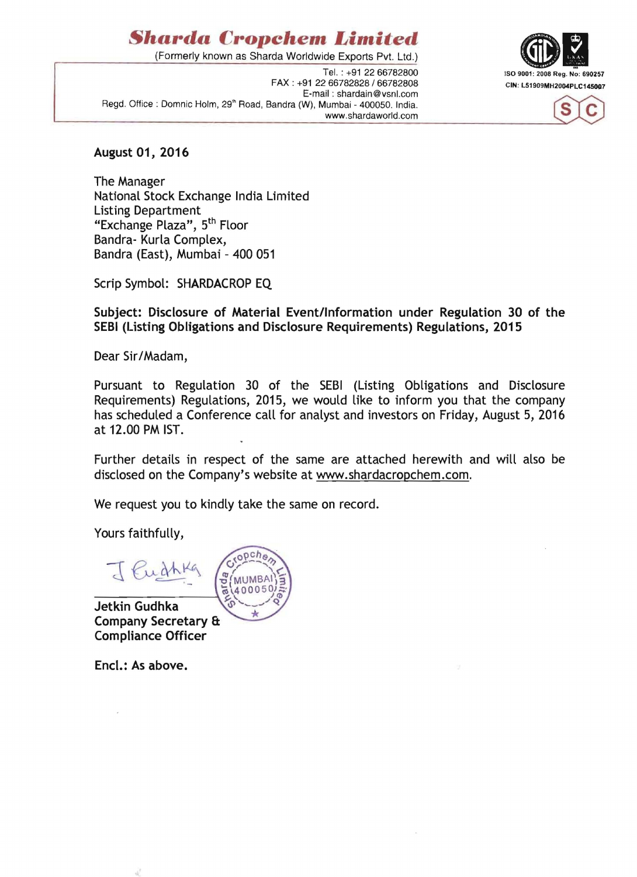## *Sharda Cropchem Limited*

(Formerly known as Sharda Worldwide Exports Pvt. Ltd.)

FAX : +91 22 66782828 / 66782808 CIN: L51909MH2004PLC145007 E-mail : shardain@vsnl.com Regd. Office : Domnic Holm, 29<sup>th</sup> Road, Bandra (W), Mumbai - 400050. India. www.shardaworld.com





## August 01, 2016

The Manager National Stock Exchange India Limited Listing Department "Exchange Plaza", 5<sup>th</sup> Floor Bandra- Kurla Complex, Bandra (East), Mumbai - 400 051

Scrip Symbol: SHARDACROP EQ

Subject: Disclosure of Material Event/Information under Regulation 30 of the SEBI (Listing Obligations and Disclosure Requirements) Regulations, 2015

Dear Sir/Madam,

Pursuant to Regulation 30 of the SEBI (Listing Obligations and Disclosure Requirements) Regulations, 2015, we would like to inform you that the company has scheduled a Conference call for analyst and investors on Friday, August 5, 2016 at 12.00 PM 1ST.

Further details in respect of the same are attached herewith and will also be disclosed on the Company's website at www.shardacropchem.com.

We request you to kindly take the same on record.

Yours faithfully,

J Euchke **MUMBA** 400050

Jetkin Gudhka Company Secretary & Compliance Officer

Encl.: As above.